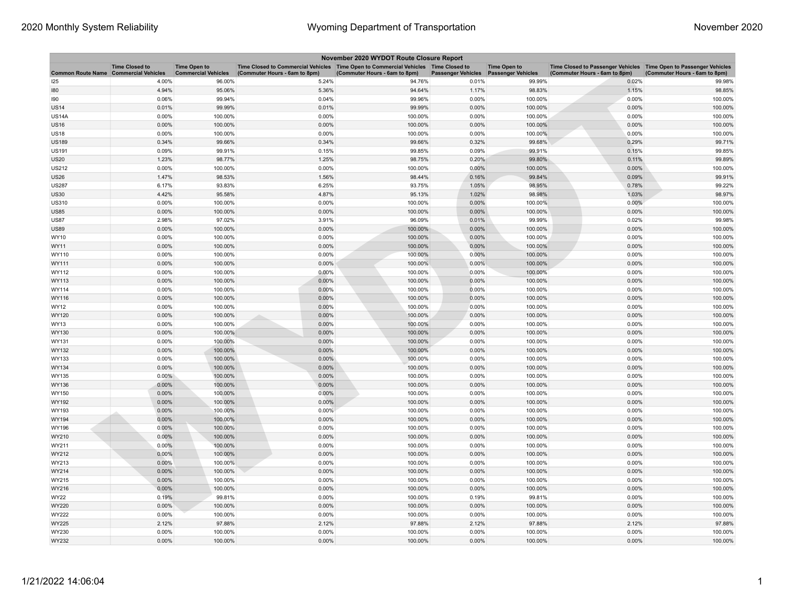| November 2020 WYDOT Route Closure Report     |                       |                                                   |                                                                                                                       |                               |                           |                                                  |                                                                                                    |                               |  |
|----------------------------------------------|-----------------------|---------------------------------------------------|-----------------------------------------------------------------------------------------------------------------------|-------------------------------|---------------------------|--------------------------------------------------|----------------------------------------------------------------------------------------------------|-------------------------------|--|
| <b>Common Route Name Commercial Vehicles</b> | <b>Time Closed to</b> | <b>Time Open to</b><br><b>Commercial Vehicles</b> | Time Closed to Commercial Vehicles  Time Open to Commercial Vehicles  Time Closed to<br>(Commuter Hours - 6am to 8pm) | (Commuter Hours - 6am to 8pm) | <b>Passenger Vehicles</b> | <b>Time Open to</b><br><b>Passenger Vehicles</b> | Time Closed to Passenger Vehicles Time Open to Passenger Vehicles<br>(Commuter Hours - 6am to 8pm) | (Commuter Hours - 6am to 8pm) |  |
| 125                                          | 4.00%                 | 96.00%                                            | 5.24%                                                                                                                 | 94.76%                        | 0.01%                     | 99.99%                                           | 0.02%                                                                                              | 99.98%                        |  |
| 180                                          | 4.94%                 | 95.06%                                            | 5.36%                                                                                                                 | 94.64%                        | 1.17%                     | 98.83%                                           | 1.15%                                                                                              | 98.85%                        |  |
| 190                                          | 0.06%                 | 99.94%                                            | 0.04%                                                                                                                 | 99.96%                        | 0.00%                     | 100.00%                                          | 0.00%                                                                                              | 100.00%                       |  |
| <b>US14</b>                                  | 0.01%                 | 99.99%                                            | 0.01%                                                                                                                 | 99.99%                        | 0.00%                     | 100.00%                                          | 0.00%                                                                                              | 100.00%                       |  |
| <b>US14A</b>                                 | 0.00%                 | 100.00%                                           | 0.00%                                                                                                                 | 100.00%                       | 0.00%                     | 100.00%                                          | 0.00%                                                                                              | 100.00%                       |  |
| <b>US16</b>                                  | 0.00%                 | 100.00%                                           | 0.00%                                                                                                                 | 100.00%                       | 0.00%                     | 100.00%                                          | 0.00%                                                                                              | 100.00%                       |  |
| US18                                         | 0.00%                 | 100.00%                                           | 0.00%                                                                                                                 | 100.00%                       | 0.00%                     | 100.00%                                          | 0.00%                                                                                              | 100.00%                       |  |
| <b>US189</b>                                 | 0.34%                 | 99.66%                                            | 0.34%                                                                                                                 | 99.66%                        | 0.32%                     | 99.68%                                           | 0.29%                                                                                              | 99.71%                        |  |
| <b>US191</b>                                 | 0.09%                 | 99.91%                                            | 0.15%                                                                                                                 | 99.85%                        | 0.09%                     | 99.91%                                           | 0.15%                                                                                              | 99.85%                        |  |
| US20                                         | 1.23%                 | 98.77%                                            | 1.25%                                                                                                                 | 98.75%                        | 0.20%                     | 99.80%                                           | 0.11%                                                                                              | 99.89%                        |  |
| <b>US212</b>                                 | 0.00%                 | 100.00%                                           | 0.00%                                                                                                                 | 100.00%                       | 0.00%                     | 100.00%                                          | $0.00\%$                                                                                           | 100.00%                       |  |
| <b>US26</b>                                  | 1.47%                 | 98.53%                                            | 1.56%                                                                                                                 | 98.44%                        | 0.16%                     | 99.84%                                           | 0.09%                                                                                              | 99.91%                        |  |
| <b>US287</b>                                 | 6.17%                 | 93.83%                                            | 6.25%                                                                                                                 | 93.75%                        | 1.05%                     | 98.95%                                           | 0.78%                                                                                              | 99.22%                        |  |
| <b>US30</b>                                  | 4.42%                 | 95.58%                                            | 4.87%                                                                                                                 | 95.13%                        | 1.02%                     | 98.98%                                           | 1.03%                                                                                              | 98.97%                        |  |
| <b>US310</b>                                 | 0.00%                 | 100.00%                                           | 0.00%                                                                                                                 | 100.00%                       | 0.00%                     | 100.00%                                          | 0.00%                                                                                              | 100.00%                       |  |
| <b>US85</b>                                  | 0.00%                 | 100.00%                                           | 0.00%                                                                                                                 | 100.00%                       | 0.00%                     | 100.00%                                          | 0.00%                                                                                              | 100.00%                       |  |
| <b>US87</b>                                  | 2.98%                 | 97.02%                                            | 3.91%                                                                                                                 | 96.09%                        | 0.01%                     | 99.99%                                           | 0.02%                                                                                              | 99.98%                        |  |
| US89                                         | 0.00%                 | 100.00%                                           | 0.00%                                                                                                                 | 100.00%                       | 0.00%                     | 100.00%                                          | 0.00%                                                                                              | 100.00%                       |  |
| WY10                                         | 0.00%                 | 100.00%                                           | 0.00%                                                                                                                 | 100.00%                       | 0.00%                     | 100.00%                                          | 0.00%                                                                                              | 100.00%                       |  |
| WY11                                         | 0.00%                 | 100.00%                                           | 0.00%                                                                                                                 | 100.00%                       | 0.00%                     | 100.00%                                          | 0.00%                                                                                              | 100.00%                       |  |
| WY110                                        | 0.00%                 | 100.00%                                           | 0.00%                                                                                                                 | 100.00%                       | 0.00%                     | 100.00%                                          | 0.00%                                                                                              | 100.00%                       |  |
| WY111                                        | 0.00%                 | 100.00%                                           | 0.00%                                                                                                                 | 100.00%                       | 0.00%                     | 100.00%                                          | 0.00%                                                                                              | 100.00%                       |  |
| WY112                                        | 0.00%                 | 100.00%                                           | 0.00%                                                                                                                 | 100.00%                       | 0.00%                     | 100.00%                                          | 0.00%                                                                                              | 100.00%                       |  |
| WY113                                        | 0.00%                 | 100.00%                                           | 0.00%                                                                                                                 | 100.00%                       | 0.00%                     | 100.00%                                          | 0.00%                                                                                              | 100.00%                       |  |
| WY114                                        | 0.00%                 | 100.00%                                           | 0.00%                                                                                                                 | 100.00%                       | 0.00%                     | 100.00%                                          | 0.00%                                                                                              | 100.00%                       |  |
| WY116                                        | 0.00%                 | 100.00%                                           | 0.00%                                                                                                                 | 100.00%                       | 0.00%                     | 100.00%                                          | $0.00\%$                                                                                           | 100.00%                       |  |
| WY12                                         | 0.00%                 | 100.00%                                           | 0.00%                                                                                                                 | 100.00%                       | 0.00%                     | 100.00%                                          | 0.00%                                                                                              | 100.00%                       |  |
| WY120                                        | 0.00%                 | 100.00%                                           | 0.00%                                                                                                                 | 100.00%                       | 0.00%                     | 100.00%                                          | 0.00%                                                                                              | 100.00%                       |  |
| WY13                                         | 0.00%                 | 100.00%                                           | 0.00%                                                                                                                 | 100.00%                       | 0.00%                     | 100.00%                                          | 0.00%                                                                                              | 100.00%                       |  |
| WY130                                        | 0.00%                 | 100.00%                                           | 0.00%                                                                                                                 | 100.00%                       | 0.00%                     | 100.00%                                          | 0.00%                                                                                              | 100.00%                       |  |
| WY131                                        | 0.00%                 | 100.00%                                           | 0.00%                                                                                                                 | 100.00%                       | 0.00%                     | 100.00%                                          | 0.00%                                                                                              | 100.00%                       |  |
| WY132                                        | 0.00%                 | 100.00%                                           | 0.00%                                                                                                                 | 100.00%                       | 0.00%                     | 100.00%                                          | 0.00%                                                                                              | 100.00%                       |  |
| WY133                                        | 0.00%                 | 100.00%                                           | 0.00%                                                                                                                 | 100.00%                       | 0.00%                     | 100.00%                                          | 0.00%                                                                                              | 100.00%                       |  |
| WY134                                        | 0.00%                 | 100.00%                                           | 0.00%                                                                                                                 | 100.00%                       | 0.00%                     | 100.00%                                          | 0.00%                                                                                              | 100.00%                       |  |
| WY135                                        | $0.00\%$              | 100.00%                                           | 0.00%                                                                                                                 | 100.00%                       | 0.00%                     | 100.00%                                          | 0.00%                                                                                              | 100.00%                       |  |
| WY136                                        | 0.00%                 | 100.00%                                           | 0.00%                                                                                                                 | 100.00%                       | 0.00%                     | 100.00%                                          | 0.00%                                                                                              | 100.00%                       |  |
| WY150                                        | 0.00%                 | 100.00%                                           | 0.00%                                                                                                                 | 100.00%                       | 0.00%                     | 100.00%                                          | 0.00%                                                                                              | 100.00%                       |  |
| WY192                                        | 0.00%                 | 100.00%                                           | 0.00%                                                                                                                 | 100.00%                       | 0.00%                     | 100.00%                                          | 0.00%                                                                                              | 100.00%                       |  |
| WY193                                        | 0.00%                 | 100.00%                                           | 0.00%                                                                                                                 | 100.00%                       | 0.00%                     | 100.00%                                          | 0.00%                                                                                              | 100.00%                       |  |
| WY194                                        | 0.00%                 | 100.00%                                           | 0.00%                                                                                                                 | 100.00%                       | 0.00%                     | 100.00%                                          | $0.00\%$                                                                                           | 100.00%                       |  |
| WY196                                        | 0.00%                 | 100.00%                                           | 0.00%                                                                                                                 | 100.00%                       | 0.00%                     | 100.00%                                          | 0.00%                                                                                              | 100.00%                       |  |
| WY210                                        | 0.00%                 | 100.00%                                           | 0.00%                                                                                                                 | 100.00%                       | 0.00%                     | 100.00%                                          | 0.00%                                                                                              | 100.00%                       |  |
| WY211                                        | 0.00%                 | 100.00%                                           | 0.00%                                                                                                                 | 100.00%                       | 0.00%                     | 100.00%                                          | 0.00%                                                                                              | 100.00%                       |  |
| WY212                                        | 0.00%                 | 100.00%                                           | 0.00%                                                                                                                 | 100.00%                       | 0.00%                     | 100.00%                                          | 0.00%                                                                                              | 100.00%                       |  |
| WY213                                        | 0.00%                 | 100.00%                                           | 0.00%                                                                                                                 | 100.00%                       | 0.00%                     | 100.00%                                          | 0.00%                                                                                              | 100.00%                       |  |
| WY214                                        | 0.00%                 | 100.00%                                           | 0.00%                                                                                                                 | 100.00%                       | 0.00%                     | 100.00%                                          | 0.00%                                                                                              | 100.00%                       |  |
| WY215                                        | 0.00%                 | 100.00%                                           | 0.00%                                                                                                                 | 100.00%                       | 0.00%                     | 100.00%                                          | 0.00%                                                                                              | 100.00%                       |  |
| WY216                                        | 0.00%                 | 100.00%                                           | 0.00%                                                                                                                 | 100.00%                       | 0.00%                     | 100.00%                                          | 0.00%                                                                                              | 100.00%                       |  |
| WY22                                         | 0.19%                 | 99.81%                                            | 0.00%                                                                                                                 | 100.00%                       | 0.19%                     | 99.81%                                           | 0.00%                                                                                              | 100.00%                       |  |
| WY220                                        | 0.00%                 | 100.00%                                           | 0.00%                                                                                                                 | 100.00%                       | 0.00%                     | 100.00%                                          | 0.00%                                                                                              | 100.00%                       |  |
| WY222                                        | 0.00%                 | 100.00%                                           | 0.00%                                                                                                                 | 100.00%                       | 0.00%                     | 100.00%                                          | 0.00%                                                                                              | 100.00%                       |  |
| WY225                                        | 2.12%                 | 97.88%                                            | 2.12%                                                                                                                 | 97.88%                        | 2.12%                     | 97.88%                                           | 2.12%                                                                                              | 97.88%                        |  |
| WY230                                        | 0.00%                 | 100.00%                                           | 0.00%                                                                                                                 | 100.00%                       | 0.00%                     | 100.00%                                          | 0.00%                                                                                              | 100.00%                       |  |
| WY232                                        | 0.00%                 | 100.00%                                           | 0.00%                                                                                                                 | 100.00%                       | 0.00%                     | 100.00%                                          | 0.00%                                                                                              | 100.00%                       |  |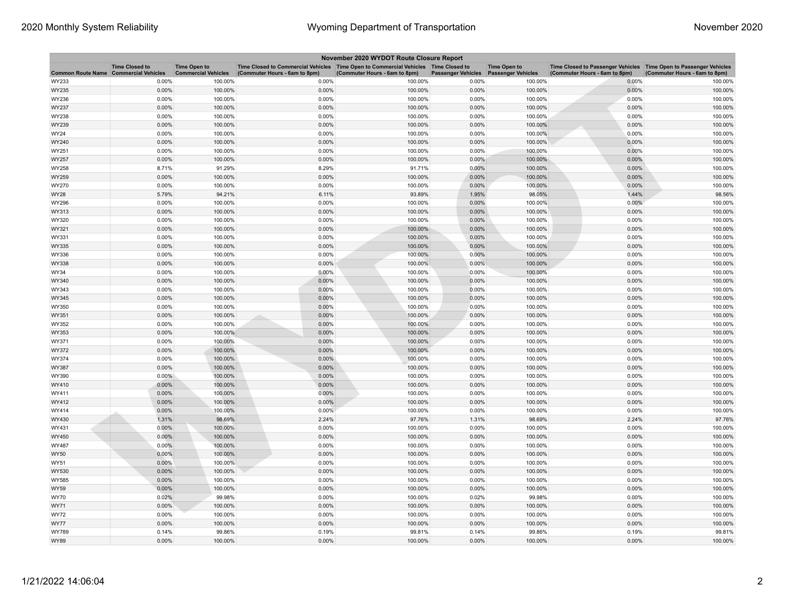| November 2020 WYDOT Route Closure Report     |                       |                                                   |                                                                                                                       |                               |                           |                                                  |                                                                                                    |                               |  |
|----------------------------------------------|-----------------------|---------------------------------------------------|-----------------------------------------------------------------------------------------------------------------------|-------------------------------|---------------------------|--------------------------------------------------|----------------------------------------------------------------------------------------------------|-------------------------------|--|
| <b>Common Route Name Commercial Vehicles</b> | <b>Time Closed to</b> | <b>Time Open to</b><br><b>Commercial Vehicles</b> | Time Closed to Commercial Vehicles  Time Open to Commercial Vehicles  Time Closed to<br>(Commuter Hours - 6am to 8pm) | (Commuter Hours - 6am to 8pm) | <b>Passenger Vehicles</b> | <b>Time Open to</b><br><b>Passenger Vehicles</b> | Time Closed to Passenger Vehicles Time Open to Passenger Vehicles<br>(Commuter Hours - 6am to 8pm) | (Commuter Hours - 6am to 8pm) |  |
| WY233                                        | 0.00%                 | 100.00%                                           | 0.00%                                                                                                                 | 100.00%                       | 0.00%                     | 100.00%                                          | 0.00%                                                                                              | 100.00%                       |  |
| WY235                                        | 0.00%                 | 100.00%                                           | 0.00%                                                                                                                 | 100.00%                       | 0.00%                     | 100.00%                                          | 0.00%                                                                                              | 100.00%                       |  |
| WY236                                        | 0.00%                 | 100.00%                                           | 0.00%                                                                                                                 | 100.00%                       | 0.00%                     | 100.00%                                          | 0.00%                                                                                              | 100.00%                       |  |
| WY237                                        | 0.00%                 | 100.00%                                           | 0.00%                                                                                                                 | 100.00%                       | 0.00%                     | 100.00%                                          | 0.00%                                                                                              | 100.00%                       |  |
| WY238                                        | 0.00%                 | 100.00%                                           | 0.00%                                                                                                                 | 100.00%                       | 0.00%                     | 100.00%                                          | 0.00%                                                                                              | 100.00%                       |  |
| WY239                                        | 0.00%                 | 100.00%                                           | 0.00%                                                                                                                 | 100.00%                       | 0.00%                     | 100.00%                                          | $0.00\%$                                                                                           | 100.00%                       |  |
| WY24                                         | 0.00%                 | 100.00%                                           | 0.00%                                                                                                                 | 100.00%                       | 0.00%                     | 100.00%                                          | 0.00%                                                                                              | 100.00%                       |  |
| WY240                                        | 0.00%                 | 100.00%                                           | 0.00%                                                                                                                 | 100.00%                       | 0.00%                     | 100.00%                                          | 0.00%                                                                                              | 100.00%                       |  |
| WY251                                        | 0.00%                 | 100.00%                                           | 0.00%                                                                                                                 | 100.00%                       | 0.00%                     | 100.00%                                          | 0.00%                                                                                              | 100.00%                       |  |
| WY257                                        | 0.00%                 | 100.00%                                           | 0.00%                                                                                                                 | 100.00%                       | 0.00%                     | 100.00%                                          | 0.00%                                                                                              | 100.00%                       |  |
| WY258                                        | 8.71%                 | 91.29%                                            | 8.29%                                                                                                                 | 91.71%                        | 0.00%                     | 100.00%                                          | 0.00%                                                                                              | 100.00%                       |  |
| WY259                                        | 0.00%                 | 100.00%                                           | 0.00%                                                                                                                 | 100.00%                       | 0.00%                     | 100.00%                                          | 0.00%                                                                                              | 100.00%                       |  |
| WY270                                        | 0.00%                 | 100.00%                                           | 0.00%                                                                                                                 | 100.00%                       | 0.00%                     | 100.00%                                          | 0.00%                                                                                              | 100.00%                       |  |
| WY28                                         | 5.79%                 | 94.21%                                            | 6.11%                                                                                                                 | 93.89%                        | 1.95%                     | 98.05%                                           | 1.44%                                                                                              | 98.56%                        |  |
| WY296                                        | 0.00%                 | 100.00%                                           | 0.00%                                                                                                                 | 100.00%                       | 0.00%                     | 100.00%                                          | 0.00%                                                                                              | 100.00%                       |  |
| WY313                                        | 0.00%                 | 100.00%                                           | 0.00%                                                                                                                 | 100.00%                       | 0.00%                     | 100.00%                                          | 0.00%                                                                                              | 100.00%                       |  |
| WY320                                        | 0.00%                 | 100.00%                                           | 0.00%                                                                                                                 | 100.00%                       | 0.00%                     | 100.00%                                          | 0.00%                                                                                              | 100.00%                       |  |
| WY321                                        | 0.00%                 | 100.00%                                           | 0.00%                                                                                                                 | 100.00%                       | 0.00%                     | 100.00%                                          | 0.00%                                                                                              | 100.00%                       |  |
| WY331                                        | 0.00%                 | 100.00%                                           | 0.00%                                                                                                                 | 100.00%                       | 0.00%                     | 100.00%                                          | 0.00%                                                                                              | 100.00%                       |  |
| WY335                                        | 0.00%                 | 100.00%                                           | 0.00%                                                                                                                 | 100.00%                       | 0.00%                     | 100.00%                                          | 0.00%                                                                                              | 100.00%                       |  |
| WY336                                        | 0.00%                 | 100.00%                                           | 0.00%                                                                                                                 | 100.00%                       | 0.00%                     | 100.00%                                          | 0.00%                                                                                              | 100.00%                       |  |
| WY338                                        | 0.00%                 | 100.00%                                           | 0.00%                                                                                                                 | 100.00%                       | 0.00%                     | 100.00%                                          | 0.00%                                                                                              | 100.00%                       |  |
| WY34                                         | 0.00%                 | 100.00%                                           | 0.00%                                                                                                                 | 100.00%                       | 0.00%                     | 100.00%                                          | 0.00%                                                                                              | 100.00%                       |  |
| WY340                                        | 0.00%                 | 100.00%                                           | 0.00%                                                                                                                 | 100.00%                       | 0.00%                     | 100.00%                                          | 0.00%                                                                                              | 100.00%                       |  |
| WY343                                        | 0.00%                 | 100.00%                                           | 0.00%                                                                                                                 | 100.00%                       | 0.00%                     | 100.00%                                          | 0.00%                                                                                              | 100.00%                       |  |
| WY345                                        | 0.00%                 | 100.00%                                           | 0.00%                                                                                                                 | 100.00%                       | 0.00%                     | 100.00%                                          | 0.00%                                                                                              | 100.00%                       |  |
| WY350                                        | 0.00%                 | 100.00%                                           | 0.00%                                                                                                                 | 100.00%                       | 0.00%                     | 100.00%                                          | 0.00%                                                                                              | 100.00%                       |  |
| WY351                                        | 0.00%                 | 100.00%                                           | 0.00%                                                                                                                 | 100.00%                       | 0.00%                     | 100.00%                                          | 0.00%                                                                                              | 100.00%                       |  |
| WY352                                        | 0.00%                 | 100.00%                                           | 0.00%                                                                                                                 | 100.00%                       | 0.00%                     | 100.00%                                          | 0.00%                                                                                              | 100.00%                       |  |
| WY353                                        | 0.00%                 | 100.00%                                           | 0.00%                                                                                                                 | 100.00%                       | 0.00%                     | 100.00%                                          | 0.00%                                                                                              | 100.00%                       |  |
| WY371                                        | 0.00%                 | 100.00%                                           | 0.00%                                                                                                                 | 100.00%                       | 0.00%                     | 100.00%                                          | 0.00%                                                                                              | 100.00%                       |  |
| WY372                                        | 0.00%                 | 100.00%                                           | 0.00%                                                                                                                 | 100.00%                       | 0.00%                     | 100.00%                                          | 0.00%                                                                                              | 100.00%                       |  |
| WY374                                        | 0.00%                 | 100.00%                                           | 0.00%                                                                                                                 | 100.00%                       | 0.00%                     | 100.00%                                          | 0.00%                                                                                              | 100.00%                       |  |
| WY387                                        | 0.00%                 | 100.00%                                           | 0.00%                                                                                                                 | 100.00%                       | 0.00%                     | 100.00%                                          | 0.00%                                                                                              | 100.00%                       |  |
| WY390                                        | $0.00\%$              | 100.00%                                           | 0.00%                                                                                                                 | 100.00%                       | 0.00%                     | 100.00%                                          | 0.00%                                                                                              | 100.00%                       |  |
| WY410                                        | 0.00%                 | 100.00%                                           | 0.00%                                                                                                                 | 100.00%                       | 0.00%                     | 100.00%                                          | 0.00%                                                                                              | 100.00%                       |  |
| WY411                                        | 0.00%                 | 100.00%                                           | 0.00%                                                                                                                 | 100.00%                       | 0.00%                     | 100.00%                                          | 0.00%                                                                                              | 100.00%                       |  |
| WY412                                        | 0.00%                 | 100.00%                                           | 0.00%                                                                                                                 | 100.00%                       | 0.00%                     | 100.00%                                          | 0.00%                                                                                              | 100.00%                       |  |
| WY414                                        | 0.00%                 | 100.00%                                           | 0.00%                                                                                                                 | 100.00%                       | 0.00%                     | 100.00%                                          | 0.00%                                                                                              | 100.00%                       |  |
| WY430                                        | 1.31%                 | 98.69%                                            | 2.24%                                                                                                                 | 97.76%                        | 1.31%                     | 98.69%                                           | 2.24%                                                                                              | 97.76%                        |  |
| WY431                                        | 0.00%                 | 100.00%                                           | 0.00%                                                                                                                 | 100.00%                       | 0.00%                     | 100.00%                                          | 0.00%                                                                                              | 100.00%                       |  |
| WY450                                        | 0.00%                 | 100.00%                                           | 0.00%                                                                                                                 | 100.00%                       | 0.00%                     | 100.00%                                          | 0.00%                                                                                              | 100.00%                       |  |
| WY487                                        | 0.00%                 | 100.00%                                           | 0.00%                                                                                                                 | 100.00%                       | 0.00%                     | 100.00%                                          | 0.00%                                                                                              | 100.00%                       |  |
| WY50                                         | 0.00%                 | 100.00%                                           | 0.00%                                                                                                                 | 100.00%                       | 0.00%                     | 100.00%                                          | 0.00%                                                                                              | 100.00%                       |  |
| WY51                                         | 0.00%                 | 100.00%                                           | 0.00%                                                                                                                 | 100.00%                       | 0.00%                     | 100.00%                                          | 0.00%                                                                                              | 100.00%                       |  |
| WY530                                        | 0.00%                 | 100.00%                                           | 0.00%                                                                                                                 | 100.00%                       | 0.00%                     | 100.00%                                          | 0.00%                                                                                              | 100.00%                       |  |
| WY585                                        | 0.00%                 | 100.00%                                           | 0.00%                                                                                                                 | 100.00%                       | 0.00%                     | 100.00%                                          | 0.00%                                                                                              | 100.00%                       |  |
| WY59                                         | 0.00%                 | 100.00%                                           | 0.00%                                                                                                                 | 100.00%                       | 0.00%                     | 100.00%                                          | 0.00%                                                                                              | 100.00%                       |  |
| WY70                                         | 0.02%                 | 99.98%                                            | 0.00%                                                                                                                 | 100.00%                       | 0.02%                     | 99.98%                                           | 0.00%                                                                                              | 100.00%                       |  |
| WY71                                         | 0.00%                 | 100.00%                                           | 0.00%                                                                                                                 | 100.00%                       | 0.00%                     | 100.00%                                          | 0.00%                                                                                              | 100.00%                       |  |
| WY72                                         | 0.00%                 | 100.00%                                           | 0.00%                                                                                                                 | 100.00%                       | 0.00%                     | 100.00%                                          | 0.00%                                                                                              | 100.00%                       |  |
| WY77                                         | 0.00%                 | 100.00%                                           | 0.00%                                                                                                                 | 100.00%                       | 0.00%                     | 100.00%                                          | 0.00%                                                                                              | 100.00%                       |  |
| WY789                                        | 0.14%                 | 99.86%                                            | 0.19%                                                                                                                 | 99.81%                        | 0.14%                     | 99.86%                                           | 0.19%                                                                                              | 99.81%                        |  |
| WY89                                         | 0.00%                 | 100.00%                                           | 0.00%                                                                                                                 | 100.00%                       | 0.00%                     | 100.00%                                          | 0.00%                                                                                              | 100.00%                       |  |